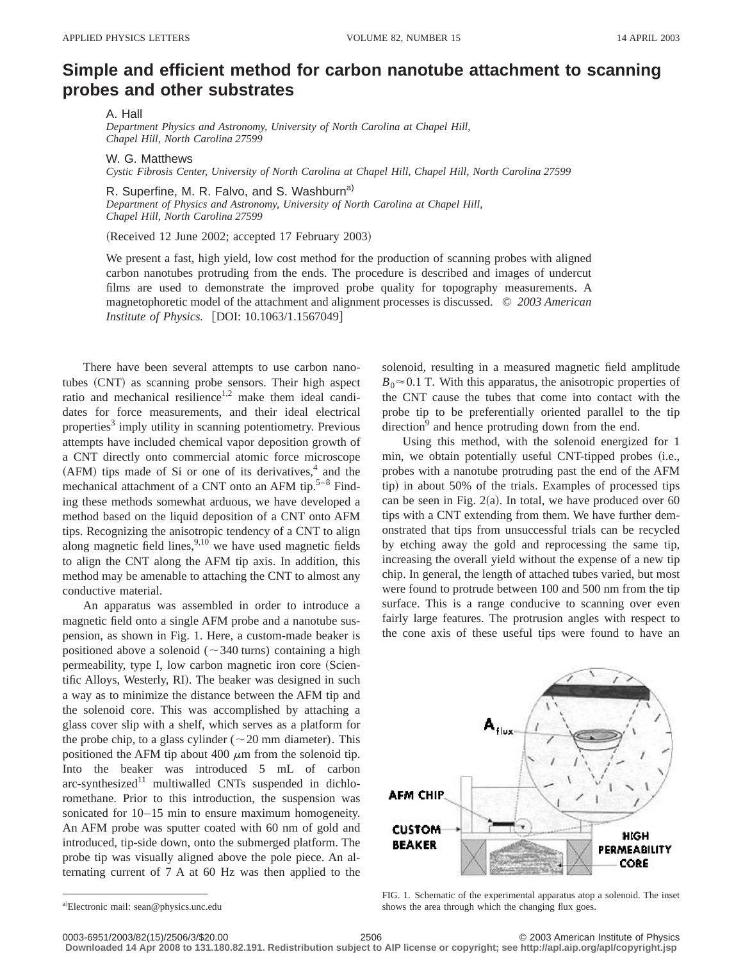## **Simple and efficient method for carbon nanotube attachment to scanning probes and other substrates**

A. Hall

*Department Physics and Astronomy, University of North Carolina at Chapel Hill, Chapel Hill, North Carolina 27599*

W. G. Matthews *Cystic Fibrosis Center, University of North Carolina at Chapel Hill, Chapel Hill, North Carolina 27599*

R. Superfine, M. R. Falvo, and S. Washburn<sup>a)</sup> *Department of Physics and Astronomy, University of North Carolina at Chapel Hill, Chapel Hill, North Carolina 27599*

(Received 12 June 2002; accepted 17 February 2003)

We present a fast, high yield, low cost method for the production of scanning probes with aligned carbon nanotubes protruding from the ends. The procedure is described and images of undercut films are used to demonstrate the improved probe quality for topography measurements. A magnetophoretic model of the attachment and alignment processes is discussed. © *2003 American Institute of Physics.* [DOI: 10.1063/1.1567049]

There have been several attempts to use carbon nanotubes (CNT) as scanning probe sensors. Their high aspect ratio and mechanical resilience<sup>1,2</sup> make them ideal candidates for force measurements, and their ideal electrical properties<sup>3</sup> imply utility in scanning potentiometry. Previous attempts have included chemical vapor deposition growth of a CNT directly onto commercial atomic force microscope  $(AFM)$  tips made of Si or one of its derivatives, $4$  and the mechanical attachment of a CNT onto an AFM tip. $5-8$  Finding these methods somewhat arduous, we have developed a method based on the liquid deposition of a CNT onto AFM tips. Recognizing the anisotropic tendency of a CNT to align along magnetic field lines,  $9,10$  we have used magnetic fields to align the CNT along the AFM tip axis. In addition, this method may be amenable to attaching the CNT to almost any conductive material.

An apparatus was assembled in order to introduce a magnetic field onto a single AFM probe and a nanotube suspension, as shown in Fig. 1. Here, a custom-made beaker is positioned above a solenoid ( $\sim$ 340 turns) containing a high permeability, type I, low carbon magnetic iron core (Scientific Alloys, Westerly, RI). The beaker was designed in such a way as to minimize the distance between the AFM tip and the solenoid core. This was accomplished by attaching a glass cover slip with a shelf, which serves as a platform for the probe chip, to a glass cylinder ( $\sim$  20 mm diameter). This positioned the AFM tip about 400  $\mu$ m from the solenoid tip. Into the beaker was introduced 5 mL of carbon  $arc$ -synthesized<sup>11</sup> multiwalled CNTs suspended in dichloromethane. Prior to this introduction, the suspension was sonicated for 10–15 min to ensure maximum homogeneity. An AFM probe was sputter coated with 60 nm of gold and introduced, tip-side down, onto the submerged platform. The probe tip was visually aligned above the pole piece. An alternating current of 7 A at 60 Hz was then applied to the

solenoid, resulting in a measured magnetic field amplitude  $B_0 \approx 0.1$  T. With this apparatus, the anisotropic properties of the CNT cause the tubes that come into contact with the probe tip to be preferentially oriented parallel to the tip  $\text{direction}^9$  and hence protruding down from the end.

Using this method, with the solenoid energized for 1 min, we obtain potentially useful CNT-tipped probes (i.e., probes with a nanotube protruding past the end of the AFM tip) in about 50% of the trials. Examples of processed tips can be seen in Fig.  $2(a)$ . In total, we have produced over 60 tips with a CNT extending from them. We have further demonstrated that tips from unsuccessful trials can be recycled by etching away the gold and reprocessing the same tip, increasing the overall yield without the expense of a new tip chip. In general, the length of attached tubes varied, but most were found to protrude between 100 and 500 nm from the tip surface. This is a range conducive to scanning over even fairly large features. The protrusion angles with respect to the cone axis of these useful tips were found to have an



FIG. 1. Schematic of the experimental apparatus atop a solenoid. The inset shows the area through which the changing flux goes.

**Downloaded 14 Apr 2008 to 131.180.82.191. Redistribution subject to AIP license or copyright; see http://apl.aip.org/apl/copyright.jsp**

a)Electronic mail: sean@physics.unc.edu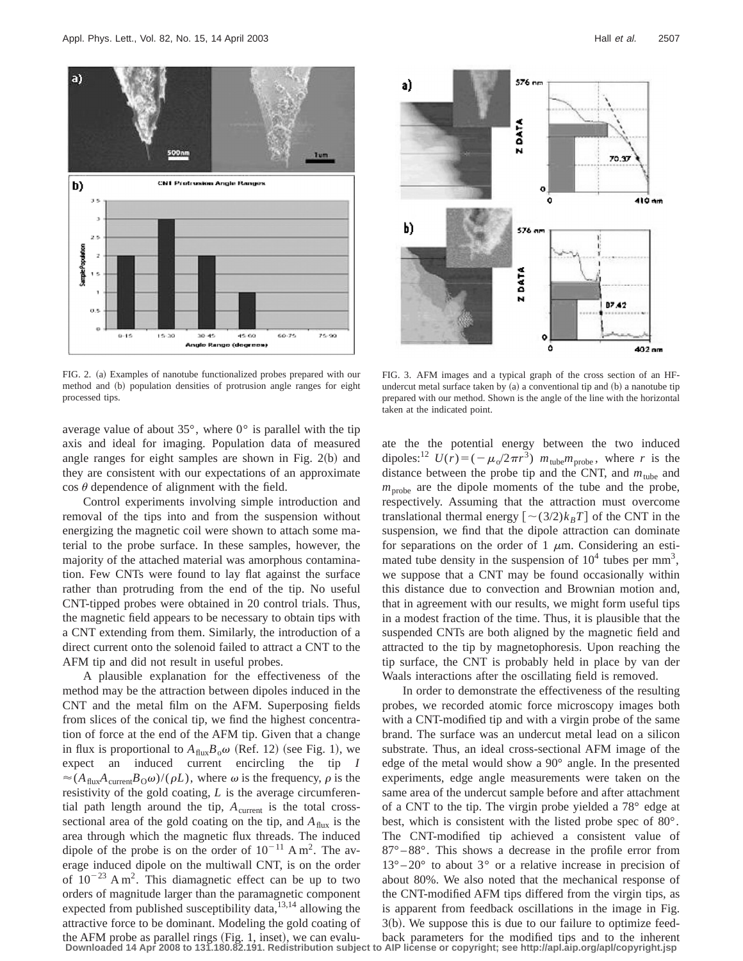

FIG. 2. (a) Examples of nanotube functionalized probes prepared with our method and (b) population densities of protrusion angle ranges for eight processed tips.

average value of about  $35^{\circ}$ , where  $0^{\circ}$  is parallel with the tip axis and ideal for imaging. Population data of measured angle ranges for eight samples are shown in Fig.  $2(b)$  and they are consistent with our expectations of an approximate  $\cos \theta$  dependence of alignment with the field.

Control experiments involving simple introduction and removal of the tips into and from the suspension without energizing the magnetic coil were shown to attach some material to the probe surface. In these samples, however, the majority of the attached material was amorphous contamination. Few CNTs were found to lay flat against the surface rather than protruding from the end of the tip. No useful CNT-tipped probes were obtained in 20 control trials. Thus, the magnetic field appears to be necessary to obtain tips with a CNT extending from them. Similarly, the introduction of a direct current onto the solenoid failed to attract a CNT to the AFM tip and did not result in useful probes.

A plausible explanation for the effectiveness of the method may be the attraction between dipoles induced in the CNT and the metal film on the AFM. Superposing fields from slices of the conical tip, we find the highest concentration of force at the end of the AFM tip. Given that a change in flux is proportional to  $A_{\text{flux}}B_0\omega$  (Ref. 12) (see Fig. 1), we expect an induced current encircling the tip *I*  $\approx$  (*A*<sub>flux</sub>*A*<sub>current</sub>*B*<sub>O</sub> $\omega$ )/( $\rho$ *L*), where  $\omega$  is the frequency,  $\rho$  is the resistivity of the gold coating, *L* is the average circumferential path length around the tip,  $A_{\text{current}}$  is the total crosssectional area of the gold coating on the tip, and  $A<sub>flux</sub>$  is the area through which the magnetic flux threads. The induced dipole of the probe is on the order of  $10^{-11}$  A m<sup>2</sup>. The average induced dipole on the multiwall CNT, is on the order of  $10^{-23}$  A m<sup>2</sup>. This diamagnetic effect can be up to two orders of magnitude larger than the paramagnetic component expected from published susceptibility data, $13,14$  allowing the attractive force to be dominant. Modeling the gold coating of



FIG. 3. AFM images and a typical graph of the cross section of an HFundercut metal surface taken by  $(a)$  a conventional tip and  $(b)$  a nanotube tip prepared with our method. Shown is the angle of the line with the horizontal taken at the indicated point.

ate the the potential energy between the two induced dipoles:<sup>12</sup>  $U(r) = (-\mu_0/2\pi r^3)$   $m_{\text{tube}}m_{\text{probe}}$ , where *r* is the distance between the probe tip and the CNT, and  $m_{\text{tube}}$  and  $m<sub>probe</sub>$  are the dipole moments of the tube and the probe, respectively. Assuming that the attraction must overcome translational thermal energy  $\left[ \sim \frac{3}{2}k_BT \right]$  of the CNT in the suspension, we find that the dipole attraction can dominate for separations on the order of 1  $\mu$ m. Considering an estimated tube density in the suspension of  $10^4$  tubes per mm<sup>3</sup>, we suppose that a CNT may be found occasionally within this distance due to convection and Brownian motion and, that in agreement with our results, we might form useful tips in a modest fraction of the time. Thus, it is plausible that the suspended CNTs are both aligned by the magnetic field and attracted to the tip by magnetophoresis. Upon reaching the tip surface, the CNT is probably held in place by van der Waals interactions after the oscillating field is removed.

In order to demonstrate the effectiveness of the resulting probes, we recorded atomic force microscopy images both with a CNT-modified tip and with a virgin probe of the same brand. The surface was an undercut metal lead on a silicon substrate. Thus, an ideal cross-sectional AFM image of the edge of the metal would show a 90° angle. In the presented experiments, edge angle measurements were taken on the same area of the undercut sample before and after attachment of a CNT to the tip. The virgin probe yielded a 78° edge at best, which is consistent with the listed probe spec of 80°. The CNT-modified tip achieved a consistent value of 87° – 88°. This shows a decrease in the profile error from  $13^{\circ} - 20^{\circ}$  to about 3° or a relative increase in precision of about 80%. We also noted that the mechanical response of the CNT-modified AFM tips differed from the virgin tips, as is apparent from feedback oscillations in the image in Fig.  $3(b)$ . We suppose this is due to our failure to optimize feed-

the AFM probe as parallel rings (Fig. 1, inset), we can evalu-<br>Downloaded 14 Apr 2008 to 131.180.82.191. Redistribution subject to AIP license or copyright; see http://apl.aip.org/apl/copyright.jsp